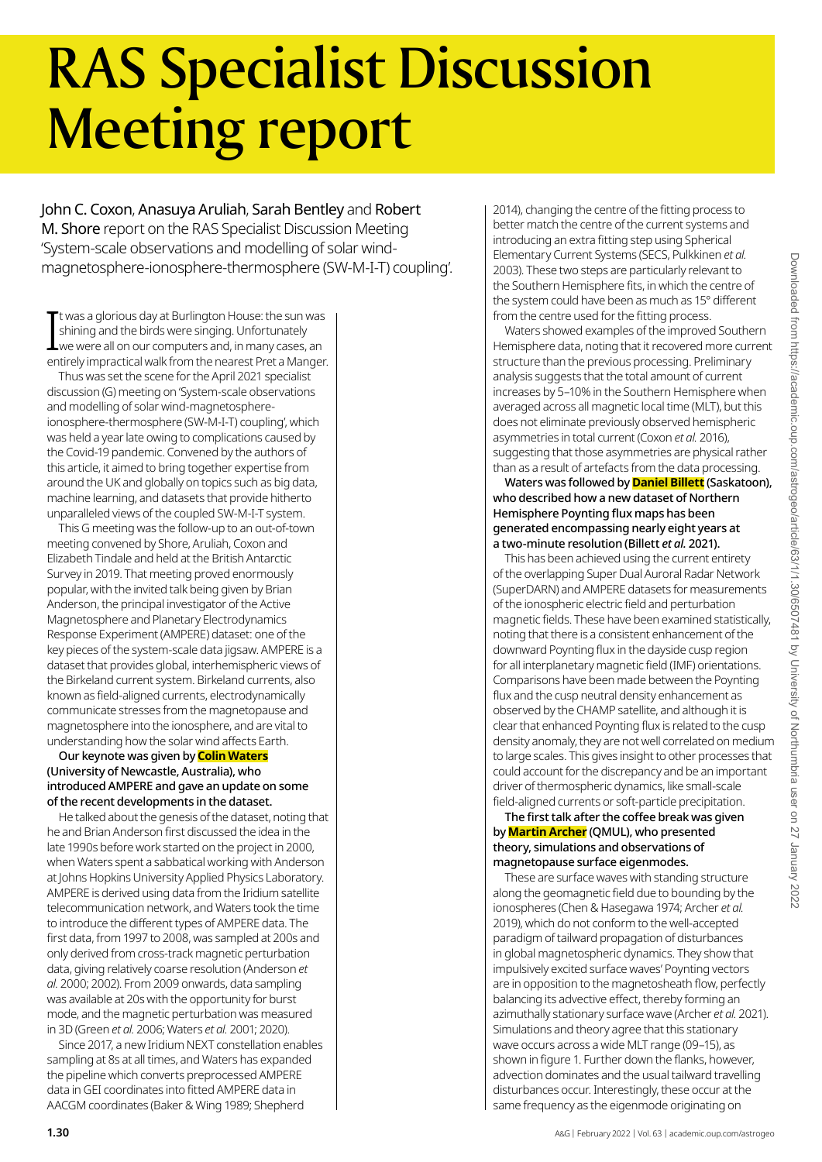# RAS Specialist Discussion Meeting report

John C. Coxon, Anasuya Aruliah, Sarah Bentley and Robert M. Shore report on the RAS Specialist Discussion Meeting 'System-scale observations and modelling of solar windmagnetosphere-ionosphere-thermosphere (SW-M-I-T) coupling'.

The twas a glorious day at Burlington House: the sun was<br>shining and the birds were singing. Unfortunately<br>we were all on our computers and, in many cases, an<br>entirely impractical walk from the nearest Pret a Manger. t was a glorious day at Burlington House: the sun was shining and the birds were singing. Unfortunately we were all on our computers and, in many cases, an

Thus was set the scene for the April 2021 specialist discussion (G) meeting on 'System-scale observations and modelling of solar wind-magnetosphereionosphere-thermosphere (SW-M-I-T) coupling', which was held a year late owing to complications caused by the Covid-19 pandemic. Convened by the authors of this article, it aimed to bring together expertise from around the UK and globally on topics such as big data, machine learning, and datasets that provide hitherto unparalleled views of the coupled SW-M-I-T system.

This G meeting was the follow-up to an out-of-town meeting convened by Shore, Aruliah, Coxon and Elizabeth Tindale and held at the British Antarctic Survey in 2019. That meeting proved enormously popular, with the invited talk being given by Brian Anderson, the principal investigator of the Active Magnetosphere and Planetary Electrodynamics Response Experiment (AMPERE) dataset: one of the key pieces of the system-scale data jigsaw. AMPERE is a dataset that provides global, interhemispheric views of the Birkeland current system. Birkeland currents, also known as field-aligned currents, electrodynamically communicate stresses from the magnetopause and magnetosphere into the ionosphere, and are vital to understanding how the solar wind affects Earth.

## Our keynote was given by **Colin Waters** (University of Newcastle, Australia), who introduced AMPERE and gave an update on some of the recent developments in the dataset.

He talked about the genesis of the dataset, noting that he and Brian Anderson first discussed the idea in the late 1990s before work started on the project in 2000, when Waters spent a sabbatical working with Anderson at Johns Hopkins University Applied Physics Laboratory. AMPERE is derived using data from the Iridium satellite telecommunication network, and Waters took the time to introduce the different types of AMPERE data. The first data, from 1997 to 2008, was sampled at 200s and only derived from cross-track magnetic perturbation data, giving relatively coarse resolution (Anderson *et al.* 2000; 2002). From 2009 onwards, data sampling was available at 20s with the opportunity for burst mode, and the magnetic perturbation was measured in 3D (Green *et al.* 2006; Waters *et al.* 2001; 2020).

Since 2017, a new Iridium NEXT constellation enables sampling at 8s at all times, and Waters has expanded the pipeline which converts preprocessed AMPERE data in GEI coordinates into fitted AMPERE data in AACGM coordinates (Baker & Wing 1989; Shepherd

2014), changing the centre of the fitting process to better match the centre of the current systems and introducing an extra fitting step using Spherical Elementary Current Systems (SECS, Pulkkinen *et al.* 2003). These two steps are particularly relevant to the Southern Hemisphere fits, in which the centre of the system could have been as much as 15° different from the centre used for the fitting process.

Waters showed examples of the improved Southern Hemisphere data, noting that it recovered more current structure than the previous processing. Preliminary analysis suggests that the total amount of current increases by 5–10% in the Southern Hemisphere when averaged across all magnetic local time (MLT), but this does not eliminate previously observed hemispheric asymmetries in total current (Coxon *et al.* 2016), suggesting that those asymmetries are physical rather than as a result of artefacts from the data processing.

Waters was followed by **Daniel Billett** (Saskatoon), who described how a new dataset of Northern Hemisphere Poynting flux maps has been generated encompassing nearly eight years at a two-minute resolution (Billett *et al.* 2021).

This has been achieved using the current entirety of the overlapping Super Dual Auroral Radar Network (SuperDARN) and AMPERE datasets for measurements of the ionospheric electric field and perturbation magnetic fields. These have been examined statistically, noting that there is a consistent enhancement of the downward Poynting flux in the dayside cusp region for all interplanetary magnetic field (IMF) orientations. Comparisons have been made between the Poynting flux and the cusp neutral density enhancement as observed by the CHAMP satellite, and although it is clear that enhanced Poynting flux is related to the cusp density anomaly, they are not well correlated on medium to large scales. This gives insight to other processes that could account for the discrepancy and be an important driver of thermospheric dynamics, like small-scale field-aligned currents or soft-particle precipitation.

The first talk after the coffee break was given by **Martin Archer** (QMUL), who presented theory, simulations and observations of magnetopause surface eigenmodes.

These are surface waves with standing structure along the geomagnetic field due to bounding by the ionospheres (Chen & Hasegawa 1974; Archer *et al.* 2019), which do not conform to the well-accepted paradigm of tailward propagation of disturbances in global magnetospheric dynamics. They show that impulsively excited surface waves' Poynting vectors are in opposition to the magnetosheath flow, perfectly balancing its advective effect, thereby forming an azimuthally stationary surface wave (Archer *et al.* 2021). Simulations and theory agree that this stationary wave occurs across a wide MLT range (09–15), as shown in figure 1. Further down the flanks, however, advection dominates and the usual tailward travelling disturbances occur. Interestingly, these occur at the same frequency as the eigenmode originating on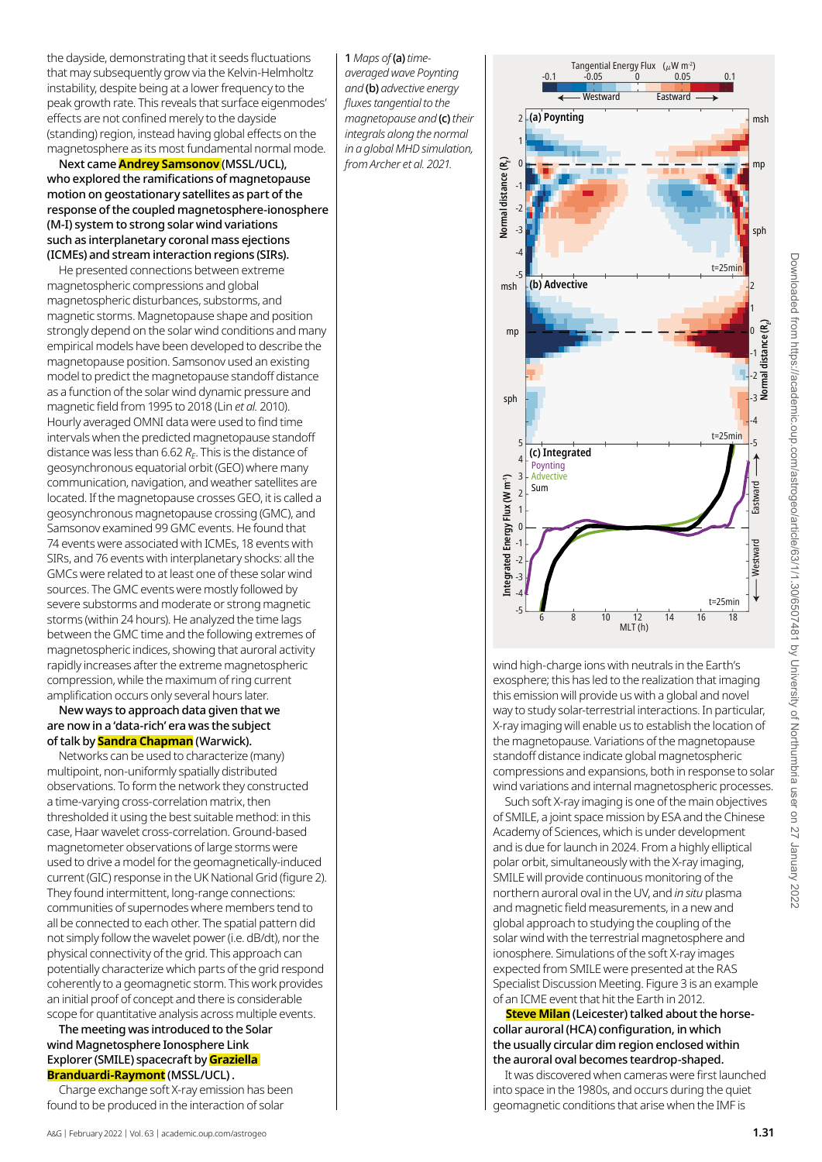the dayside, demonstrating that it seeds fluctuations that may subsequently grow via the Kelvin-Helmholtz instability, despite being at a lower frequency to the peak growth rate. This reveals that surface eigenmodes' effects are not confined merely to the dayside (standing) region, instead having global effects on the magnetosphere as its most fundamental normal mode.

Next came **Andrey Samsonov** (MSSL/UCL), who explored the ramifications of magnetopause motion on geostationary satellites as part of the response of the coupled magnetosphere-ionosphere (M-I) system to strong solar wind variations such as interplanetary coronal mass ejections (ICMEs) and stream interaction regions (SIRs).

He presented connections between extreme magnetospheric compressions and global magnetospheric disturbances, substorms, and magnetic storms. Magnetopause shape and position strongly depend on the solar wind conditions and many empirical models have been developed to describe the magnetopause position. Samsonov used an existing model to predict the magnetopause standoff distance as a function of the solar wind dynamic pressure and magnetic field from 1995 to 2018 (Lin *et al.* 2010). Hourly averaged OMNI data were used to find time intervals when the predicted magnetopause standoff distance was less than 6.62 R<sub>E</sub>. This is the distance of geosynchronous equatorial orbit (GEO) where many communication, navigation, and weather satellites are located. If the magnetopause crosses GEO, it is called a geosynchronous magnetopause crossing (GMC), and Samsonov examined 99 GMC events. He found that 74 events were associated with ICMEs, 18 events with SIRs, and 76 events with interplanetary shocks: all the GMCs were related to at least one of these solar wind sources. The GMC events were mostly followed by severe substorms and moderate or strong magnetic storms (within 24 hours). He analyzed the time lags between the GMC time and the following extremes of magnetospheric indices, showing that auroral activity rapidly increases after the extreme magnetospheric compression, while the maximum of ring current amplification occurs only several hours later.

New ways to approach data given that we are now in a 'data-rich' era was the subject of talk by **Sandra Chapman** (Warwick).

Networks can be used to characterize (many) multipoint, non-uniformly spatially distributed observations. To form the network they constructed a time-varying cross-correlation matrix, then thresholded it using the best suitable method: in this case, Haar wavelet cross-correlation. Ground-based magnetometer observations of large storms were used to drive a model for the geomagnetically-induced current (GIC) response in the UK National Grid (figure 2). They found intermittent, long-range connections: communities of supernodes where members tend to all be connected to each other. The spatial pattern did not simply follow the wavelet power (i.e. dB/dt), nor the physical connectivity of the grid. This approach can potentially characterize which parts of the grid respond coherently to a geomagnetic storm. This work provides an initial proof of concept and there is considerable scope for quantitative analysis across multiple events.

## The meeting was introduced to the Solar wind Magnetosphere Ionosphere Link Explorer (SMILE) spacecraft by **Graziella Branduardi-Raymont** (MSSL/UCL) .

Charge exchange soft X-ray emission has been found to be produced in the interaction of solar



wind high-charge ions with neutrals in the Earth's exosphere; this has led to the realization that imaging this emission will provide us with a global and novel way to study solar-terrestrial interactions. In particular, X-ray imaging will enable us to establish the location of the magnetopause. Variations of the magnetopause standoff distance indicate global magnetospheric compressions and expansions, both in response to solar wind variations and internal magnetospheric processes.

Such soft X-ray imaging is one of the main objectives of SMILE, a joint space mission by ESA and the Chinese Academy of Sciences, which is under development and is due for launch in 2024. From a highly elliptical polar orbit, simultaneously with the X-ray imaging, SMILE will provide continuous monitoring of the northern auroral oval in the UV, and *in situ* plasma and magnetic field measurements, in a new and global approach to studying the coupling of the solar wind with the terrestrial magnetosphere and ionosphere. Simulations of the soft X-ray images expected from SMILE were presented at the RAS Specialist Discussion Meeting. Figure 3 is an example of an ICME event that hit the Earth in 2012.

**Steve Milan** (Leicester) talked about the horsecollar auroral (HCA) configuration, in which the usually circular dim region enclosed within the auroral oval becomes teardrop-shaped.

It was discovered when cameras were first launched into space in the 1980s, and occurs during the quiet geomagnetic conditions that arise when the IMF is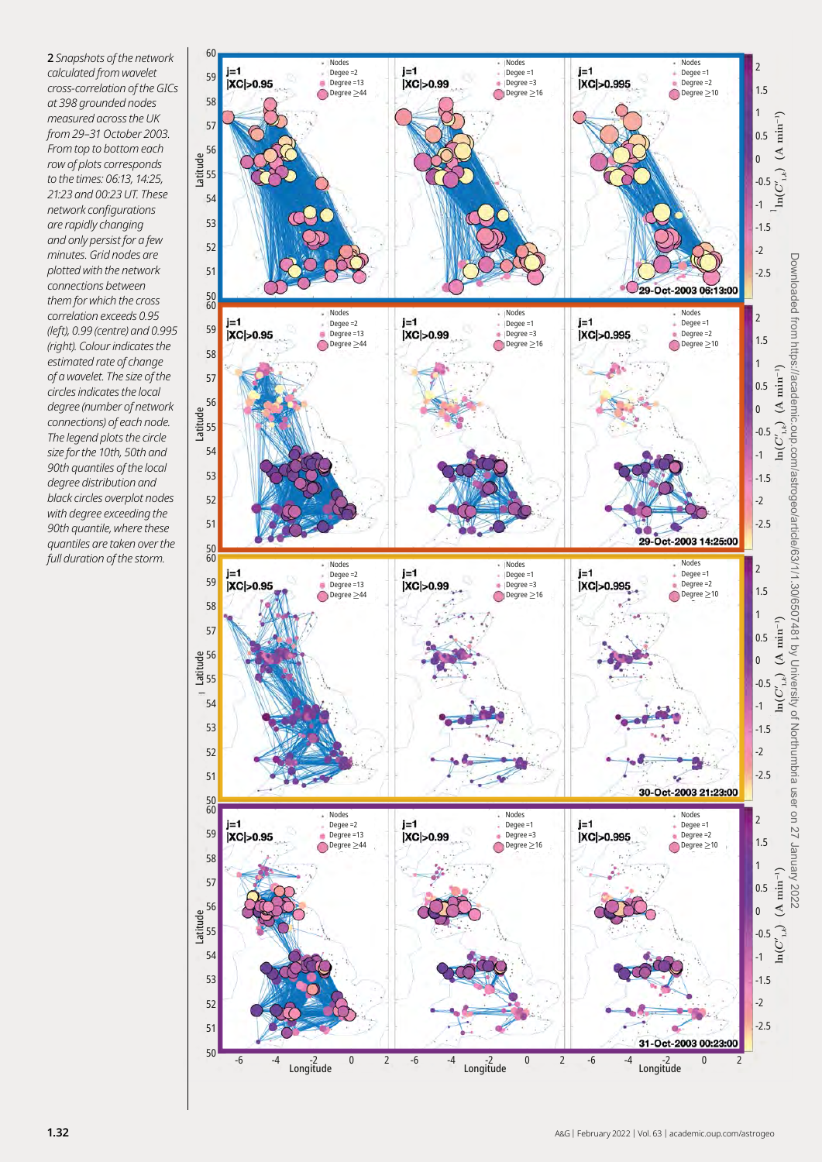2 *Snapshots of the network calculated from wavelet cross-correlation of the GICs at 398 grounded nodes measured across the UK from 29–31 October 2003. From top to bottom each row of plots corresponds to the times: 06:13, 14:25, 21:23 and 00:23 UT. These network configurations are rapidly changing and only persist for a few minutes. Grid nodes are plotted with the network connections between them for which the cross correlation exceeds 0.95 (left), 0.99 (centre) and 0.995 (right). Colour indicates the estimated rate of change of a wavelet. The size of the circles indicates the local degree (number of network connections) of each node. The legend plots the circle size for the 10th, 50th and 90th quantiles of the local degree distribution and black circles overplot nodes with degree exceeding the 90th quantile, where these quantiles are taken over the full duration of the storm.*

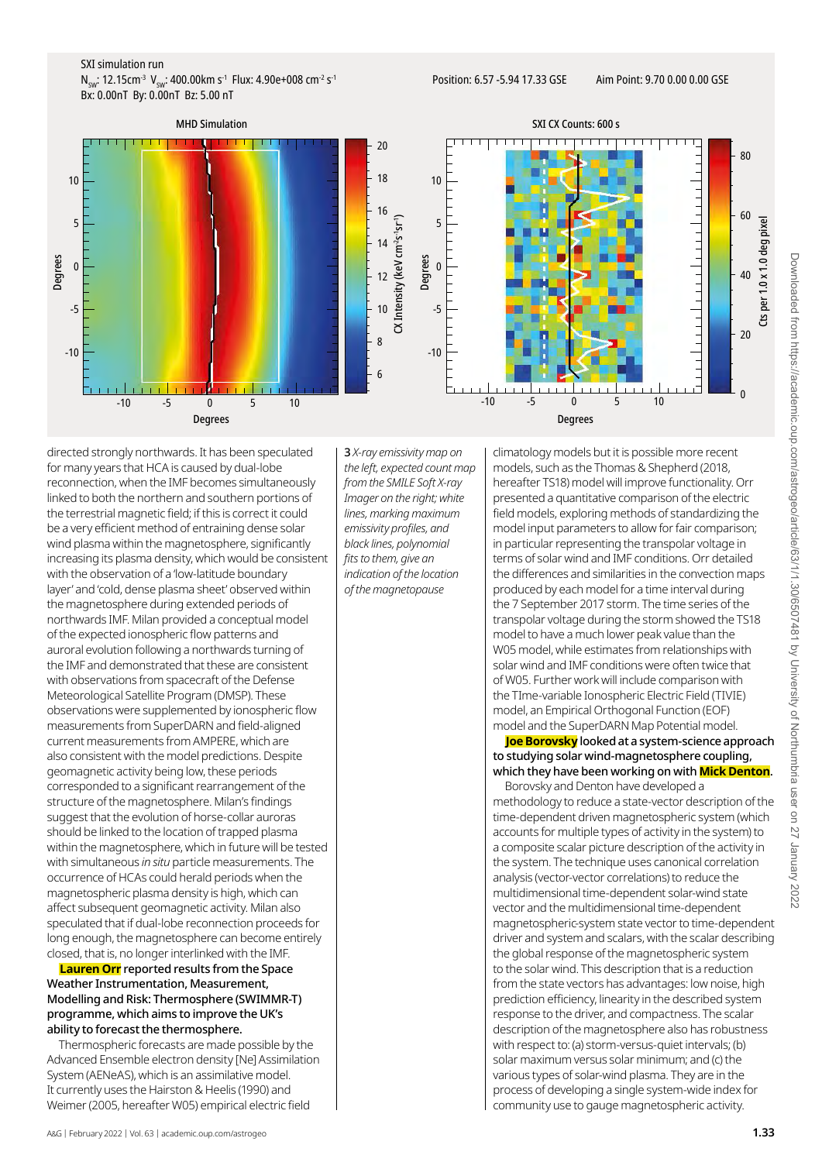#### SXI simulation run

 $N_{SW}: 12.15 \text{cm}^{-3} \text{ V}_{SW}: 400.00 \text{km s}^{-1} \text{ Flux}: 4.90 \text{e}+008 \text{ cm}^{-2} \text{ s}^{-1}$ Bx: 0.00nT By: 0.00nT Bz: 5.00 nT



MHD Simulation SXI CX Counts: 600 s गग  $80$ 60 Cts per 1.0 x 1.0 deg pixel Cts per 1.0 x 1.0 deg pixel 40  $20$  $\boldsymbol{0}$ 

directed strongly northwards. It has been speculated for many years that HCA is caused by dual-lobe reconnection, when the IMF becomes simultaneously linked to both the northern and southern portions of the terrestrial magnetic field; if this is correct it could be a very efficient method of entraining dense solar wind plasma within the magnetosphere, significantly increasing its plasma density, which would be consistent with the observation of a 'low-latitude boundary layer' and 'cold, dense plasma sheet' observed within the magnetosphere during extended periods of northwards IMF. Milan provided a conceptual model of the expected ionospheric flow patterns and auroral evolution following a northwards turning of the IMF and demonstrated that these are consistent with observations from spacecraft of the Defense Meteorological Satellite Program (DMSP). These observations were supplemented by ionospheric flow measurements from SuperDARN and field-aligned current measurements from AMPERE, which are also consistent with the model predictions. Despite geomagnetic activity being low, these periods corresponded to a significant rearrangement of the structure of the magnetosphere. Milan's findings suggest that the evolution of horse-collar auroras should be linked to the location of trapped plasma within the magnetosphere, which in future will be tested with simultaneous *in situ* particle measurements. The occurrence of HCAs could herald periods when the magnetospheric plasma density is high, which can affect subsequent geomagnetic activity. Milan also speculated that if dual-lobe reconnection proceeds for long enough, the magnetosphere can become entirely closed, that is, no longer interlinked with the IMF.

**Lauren Orr** reported results from the Space Weather Instrumentation, Measurement, Modelling and Risk: Thermosphere (SWIMMR-T) programme, which aims to improve the UK's ability to forecast the thermosphere.

Thermospheric forecasts are made possible by the Advanced Ensemble electron density [Ne] Assimilation System (AENeAS), which is an assimilative model. It currently uses the Hairston & Heelis (1990) and Weimer (2005, hereafter W05) empirical electric field

3 *X-ray emissivity map on the left, expected count map from the SMILE Soft X-ray Imager on the right; white lines, marking maximum emissivity profiles, and black lines, polynomial fits to them, give an indication of the location of the magnetopause*

climatology models but it is possible more recent models, such as the Thomas & Shepherd (2018, hereafter TS18) model will improve functionality. Orr presented a quantitative comparison of the electric field models, exploring methods of standardizing the model input parameters to allow for fair comparison; in particular representing the transpolar voltage in terms of solar wind and IMF conditions. Orr detailed the differences and similarities in the convection maps produced by each model for a time interval during the 7 September 2017 storm. The time series of the transpolar voltage during the storm showed the TS18 model to have a much lower peak value than the W05 model, while estimates from relationships with solar wind and IMF conditions were often twice that of W05. Further work will include comparison with the TIme-variable Ionospheric Electric Field (TIVIE) model, an Empirical Orthogonal Function (EOF) model and the SuperDARN Map Potential model.

**Joe Borovsky** looked at a system-science approach to studying solar wind-magnetosphere coupling, which they have been working on with **Mick Denton**.

Borovsky and Denton have developed a methodology to reduce a state-vector description of the time-dependent driven magnetospheric system (which accounts for multiple types of activity in the system) to a composite scalar picture description of the activity in the system. The technique uses canonical correlation analysis (vector-vector correlations) to reduce the multidimensional time-dependent solar-wind state vector and the multidimensional time-dependent magnetospheric-system state vector to time-dependent driver and system and scalars, with the scalar describing the global response of the magnetospheric system to the solar wind. This description that is a reduction from the state vectors has advantages: low noise, high prediction efficiency, linearity in the described system response to the driver, and compactness. The scalar description of the magnetosphere also has robustness with respect to: (a) storm-versus-quiet intervals; (b) solar maximum versus solar minimum; and (c) the various types of solar-wind plasma. They are in the process of developing a single system-wide index for community use to gauge magnetospheric activity.